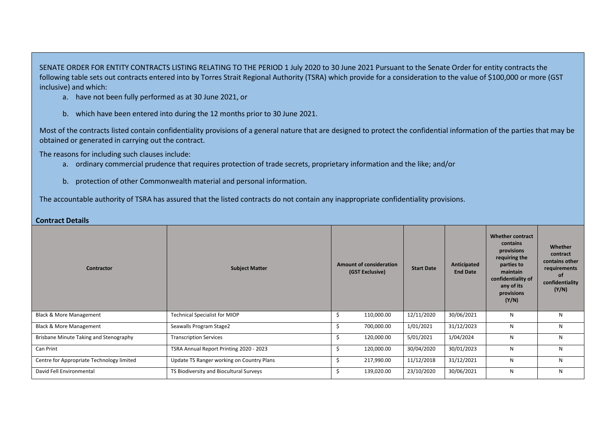SENATE ORDER FOR ENTITY CONTRACTS LISTING RELATING TO THE PERIOD 1 July 2020 to 30 June 2021 Pursuant to the Senate Order for entity contracts the following table sets out contracts entered into by Torres Strait Regional Authority (TSRA) which provide for a consideration to the value of \$100,000 or more (GST inclusive) and which:

- a. have not been fully performed as at 30 June 2021, or
- b. which have been entered into during the 12 months prior to 30 June 2021.

Most of the contracts listed contain confidentiality provisions of a general nature that are designed to protect the confidential information of the parties that may be obtained or generated in carrying out the contract.

The reasons for including such clauses include:

- a. ordinary commercial prudence that requires protection of trade secrets, proprietary information and the like; and/or
- b. protection of other Commonwealth material and personal information.

The accountable authority of TSRA has assured that the listed contracts do not contain any inappropriate confidentiality provisions.

| Contractor                                | <b>Subject Matter</b>                     | <b>Amount of consideration</b><br>(GST Exclusive) | <b>Start Date</b> | Anticipated<br><b>End Date</b> | Whether contract<br>contains<br>provisions<br>requiring the<br>parties to<br>maintain<br>confidentiality of<br>any of its<br>provisions<br>(Y/N) | Whether<br>contract<br>contains other<br>requirements<br>0f<br>confidentiality<br>(Y/N) |
|-------------------------------------------|-------------------------------------------|---------------------------------------------------|-------------------|--------------------------------|--------------------------------------------------------------------------------------------------------------------------------------------------|-----------------------------------------------------------------------------------------|
| <b>Black &amp; More Management</b>        | <b>Technical Specialist for MIOP</b>      | 110,000.00<br>Ś                                   | 12/11/2020        | 30/06/2021                     | N                                                                                                                                                | N                                                                                       |
| <b>Black &amp; More Management</b>        | Seawalls Program Stage2                   | 700,000.00<br>Ś                                   | 1/01/2021         | 31/12/2023                     | N                                                                                                                                                | N                                                                                       |
| Brisbane Minute Taking and Stenography    | <b>Transcription Services</b>             | Ś.<br>120,000.00                                  | 5/01/2021         | 1/04/2024                      | N                                                                                                                                                | N                                                                                       |
| Can Print                                 | TSRA Annual Report Printing 2020 - 2023   | Ś<br>120,000.00                                   | 30/04/2020        | 30/01/2023                     | N                                                                                                                                                | N                                                                                       |
| Centre for Appropriate Technology limited | Update TS Ranger working on Country Plans | Ś<br>217,990.00                                   | 11/12/2018        | 31/12/2021                     | N                                                                                                                                                | N                                                                                       |
| David Fell Environmental                  | TS Biodiversity and Biocultural Surveys   | 139,020.00<br>\$                                  | 23/10/2020        | 30/06/2021                     | N                                                                                                                                                | N                                                                                       |

## **Contract Details**